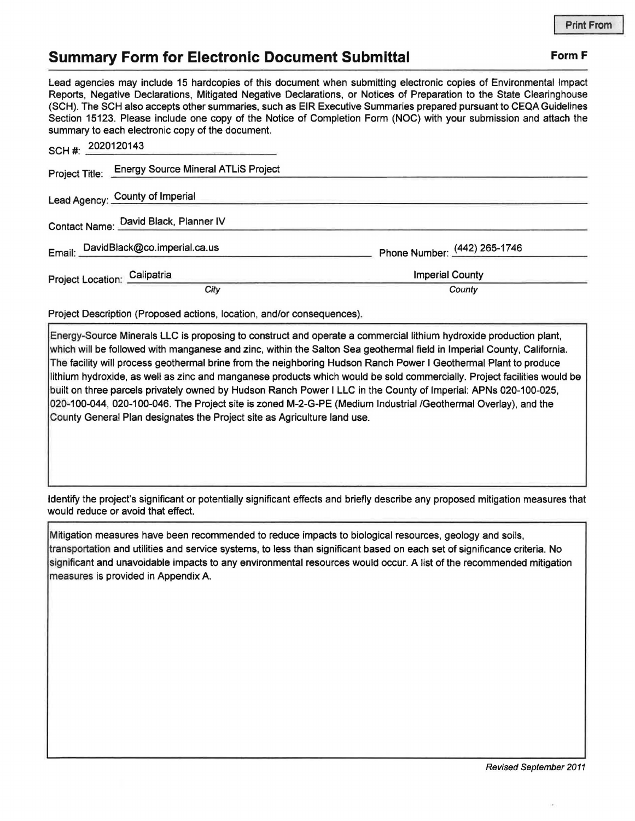## **Summary Form for Electronic Document Submittal Form F Form F**

Lead agencies may include 15 hardcopies of this document when submitting electronic copies of Environmental Impact Reports, Negative Declarations, Mitigated Negative Declarations, or Notices of Preparation to the State Clearinghouse (SCH). The SCH also accepts other summaries, such as EIR Executive Summaries prepared pursuant to CEQA Guidelines Section 15123. Please include one copy of the Notice of Completion Form (NOC) with your submission and attach the summary to each electronic copy of the document.

| SCH #: 2020120143<br><u> Romano – a poznata za predsjednje po poznata </u> |                              |
|----------------------------------------------------------------------------|------------------------------|
| <b>Energy Source Mineral ATLiS Project</b><br>Project Title:               |                              |
| Lead Agency: County of Imperial                                            |                              |
| Contact Name: David Black, Planner IV                                      |                              |
| Email: DavidBlack@co.imperial.ca.us                                        | Phone Number: (442) 265-1746 |
| Project Location: Calipatria                                               | <b>Imperial County</b>       |
| City                                                                       | County                       |

Project Description (Proposed actions, location, and/or consequences).

Energy-Source Minerals LLC is proposing to construct and operate a commercial lithium hydroxide production plant, which will be followed with manganese and zinc, within the Salton Sea geothermal field in Imperial County, California. The facility will process geothermal brine from the neighboring Hudson Ranch Power I Geothermal Plant to produce lithium hydroxide, as well as zinc and manganese products which would be sold commercially. Project facilities would be built on three parcels privately owned by Hudson Ranch Power I LLC in the County of Imperial: APNs 020-100-025, 020-100-044, 020-100-046. The Project site is zoned M-2-G-PE (Medium Industrial /Geothermal Overlay), and the County General Plan designates the Project site as Agriculture land use.

Identify the project's significant or potentially significant effects and briefly describe any proposed mitigation measures that would reduce or avoid that effect.

Mitigation measures have been recommended to reduce impacts to biological resources, geology and soils, transportation and utilities and service systems, to less than significant based on each set of significance criteria. No significant and unavoidable impacts to any environmental resources would occur. A list of the recommended mitigation measures is provided in Appendix A.